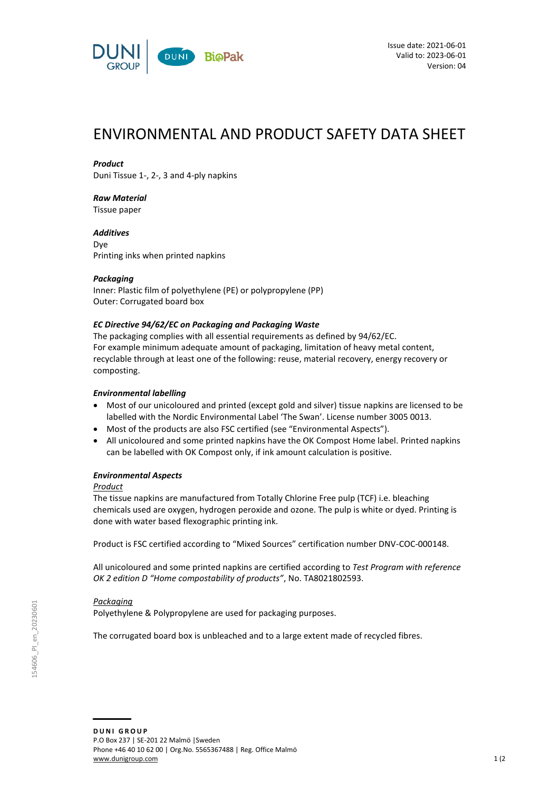

# ENVIRONMENTAL AND PRODUCT SAFETY DATA SHEET

## *Product*

Duni Tissue 1-, 2-, 3 and 4-ply napkins

## *Raw Material*

Tissue paper

*Additives* Dye Printing inks when printed napkins

## *Packaging*

Inner: Plastic film of polyethylene (PE) or polypropylene (PP) Outer: Corrugated board box

## *EC Directive 94/62/EC on Packaging and Packaging Waste*

The packaging complies with all essential requirements as defined by 94/62/EC. For example minimum adequate amount of packaging, limitation of heavy metal content, recyclable through at least one of the following: reuse, material recovery, energy recovery or composting.

## *Environmental labelling*

- Most of our unicoloured and printed (except gold and silver) tissue napkins are licensed to be labelled with the Nordic Environmental Label 'The Swan'. License number 3005 0013.
- Most of the products are also FSC certified (see "Environmental Aspects").
- All unicoloured and some printed napkins have the OK Compost Home label. Printed napkins can be labelled with OK Compost only, if ink amount calculation is positive.

## *Environmental Aspects*

## *Product*

The tissue napkins are manufactured from Totally Chlorine Free pulp (TCF) i.e. bleaching chemicals used are oxygen, hydrogen peroxide and ozone. The pulp is white or dyed. Printing is done with water based flexographic printing ink.

Product is FSC certified according to "Mixed Sources" certification number DNV-COC-000148.

All unicoloured and some printed napkins are certified according to *Test Program with reference OK 2 edition D "Home compostability of products"*, No. TA8021802593.

## *Packaging*

Polyethylene & Polypropylene are used for packaging purposes.

The corrugated board box is unbleached and to a large extent made of recycled fibres.